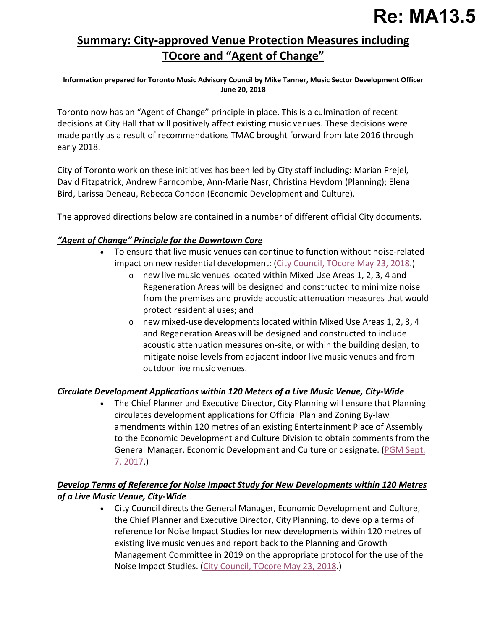# **Summary: City-approved Venue Protection Measures including TOcore and "Agent of Change"**

**Information prepared for Toronto Music Advisory Council by Mike Tanner, Music Sector Development Officer June 20, 2018**

Toronto now has an "Agent of Change" principle in place. This is a culmination of recent decisions at City Hall that will positively affect existing music venues. These decisions were made partly as a result of recommendations TMAC brought forward from late 2016 through early 2018.

City of Toronto work on these initiatives has been led by City staff including: Marian Prejel, David Fitzpatrick, Andrew Farncombe, Ann-Marie Nasr, Christina Heydorn (Planning); Elena Bird, Larissa Deneau, Rebecca Condon (Economic Development and Culture).

The approved directions below are contained in a number of different official City documents.

#### *"Agent of Change" Principle for the Downtown Core*

- To ensure that live music venues can continue to function without noise-related impact on new residential development: [\(City Council, TOcore May 23, 2018.](http://app.toronto.ca/tmmis/viewAgendaItemHistory.do?item=2018.PG29.4))
	- o new live music venues located within Mixed Use Areas 1, 2, 3, 4 and Regeneration Areas will be designed and constructed to minimize noise from the premises and provide acoustic attenuation measures that would protect residential uses; and
	- o new mixed-use developments located within Mixed Use Areas 1, 2, 3, 4 and Regeneration Areas will be designed and constructed to include acoustic attenuation measures on-site, or within the building design, to mitigate noise levels from adjacent indoor live music venues and from outdoor live music venues.

#### *Circulate Development Applications within 120 Meters of a Live Music Venue, City-Wide*

• The Chief Planner and Executive Director, City Planning will ensure that Planning circulates development applications for Official Plan and Zoning By-law amendments within 120 metres of an existing Entertainment Place of Assembly to the Economic Development and Culture Division to obtain comments from the General Manager, Economic Development and Culture or designate. [\(PGM Sept.](http://app.toronto.ca/tmmis/viewAgendaItemHistory.do?item=2017.PG22.13) [7, 2017.](http://app.toronto.ca/tmmis/viewAgendaItemHistory.do?item=2017.PG22.13))

# *Develop Terms of Reference for Noise Impact Study for New Developments within 120 Metres of a Live Music Venue, City-Wide*

• City Council directs the General Manager, Economic Development and Culture, the Chief Planner and Executive Director, City Planning, to develop a terms of reference for Noise Impact Studies for new developments within 120 metres of existing live music venues and report back to the Planning and Growth Management Committee in 2019 on the appropriate protocol for the use of the Noise Impact Studies. [\(City Council, TOcore May 23, 2018.](http://app.toronto.ca/tmmis/viewAgendaItemHistory.do?item=2018.PG29.4))